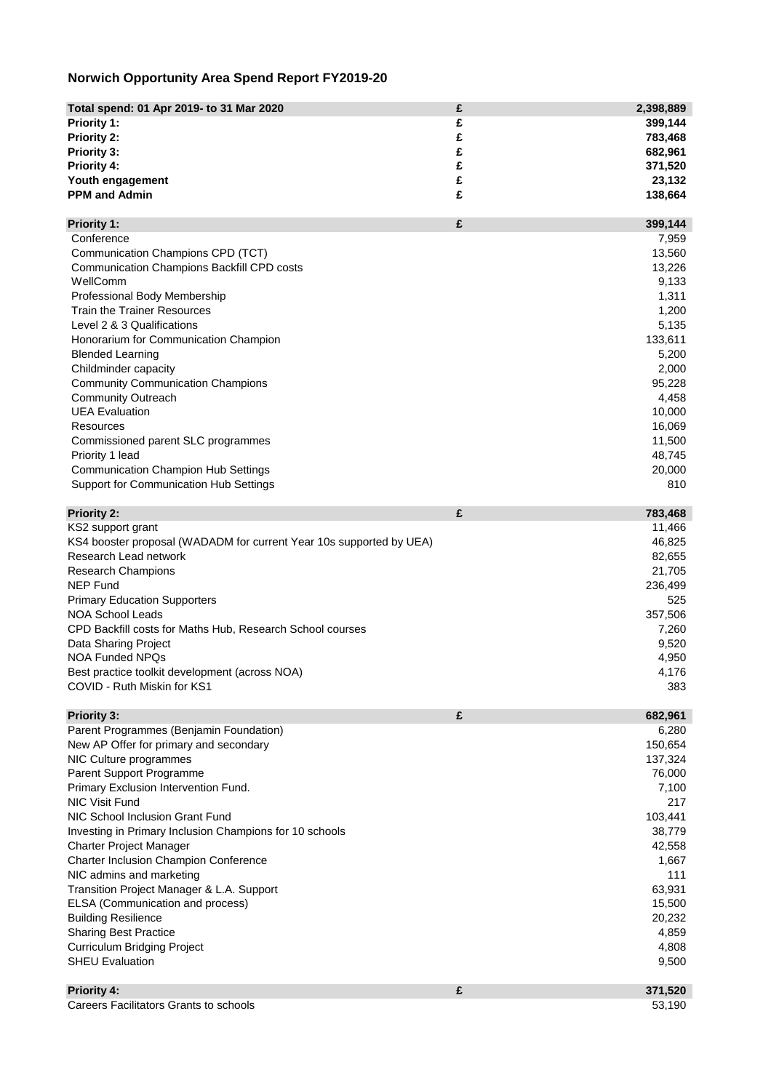## **Norwich Opportunity Area Spend Report FY2019-20**

| Total spend: 01 Apr 2019- to 31 Mar 2020                            | £ | 2,398,889 |
|---------------------------------------------------------------------|---|-----------|
| <b>Priority 1:</b>                                                  | £ | 399,144   |
| <b>Priority 2:</b>                                                  | £ | 783,468   |
| <b>Priority 3:</b>                                                  | £ | 682,961   |
| <b>Priority 4:</b>                                                  | £ | 371,520   |
| Youth engagement                                                    | £ | 23,132    |
| <b>PPM and Admin</b>                                                | £ | 138,664   |
|                                                                     |   |           |
| <b>Priority 1:</b>                                                  | £ | 399,144   |
| Conference                                                          |   | 7,959     |
| Communication Champions CPD (TCT)                                   |   | 13,560    |
| <b>Communication Champions Backfill CPD costs</b>                   |   | 13,226    |
| WellComm                                                            |   | 9,133     |
| <b>Professional Body Membership</b>                                 |   | 1,311     |
| <b>Train the Trainer Resources</b>                                  |   | 1,200     |
| Level 2 & 3 Qualifications                                          |   | 5,135     |
| Honorarium for Communication Champion                               |   | 133,611   |
| <b>Blended Learning</b>                                             |   | 5,200     |
| Childminder capacity                                                |   | 2,000     |
| <b>Community Communication Champions</b>                            |   | 95,228    |
| <b>Community Outreach</b>                                           |   | 4,458     |
| <b>UEA Evaluation</b>                                               |   | 10,000    |
| <b>Resources</b>                                                    |   | 16,069    |
| Commissioned parent SLC programmes                                  |   | 11,500    |
| Priority 1 lead                                                     |   | 48,745    |
| <b>Communication Champion Hub Settings</b>                          |   | 20,000    |
| <b>Support for Communication Hub Settings</b>                       |   | 810       |
| <b>Priority 2:</b>                                                  | £ | 783,468   |
| KS2 support grant                                                   |   | 11,466    |
| KS4 booster proposal (WADADM for current Year 10s supported by UEA) |   | 46,825    |
| <b>Research Lead network</b>                                        |   | 82,655    |
| <b>Research Champions</b>                                           |   | 21,705    |
| <b>NEP Fund</b>                                                     |   | 236,499   |
| <b>Primary Education Supporters</b>                                 |   | 525       |
| <b>NOA School Leads</b>                                             |   | 357,506   |
| CPD Backfill costs for Maths Hub, Research School courses           |   | 7,260     |
| Data Sharing Project                                                |   | 9,520     |
| <b>NOA Funded NPQs</b>                                              |   | 4,950     |
| Best practice toolkit development (across NOA)                      |   | 4,176     |
| COVID - Ruth Miskin for KS1                                         |   | 383       |
|                                                                     |   |           |
| <b>Priority 3:</b>                                                  | £ | 682,961   |
| Parent Programmes (Benjamin Foundation)                             |   | 6,280     |
| New AP Offer for primary and secondary                              |   | 150,654   |
| NIC Culture programmes                                              |   | 137,324   |
| <b>Parent Support Programme</b>                                     |   | 76,000    |
| Primary Exclusion Intervention Fund.                                |   | 7,100     |
| <b>NIC Visit Fund</b>                                               |   | 217       |
| NIC School Inclusion Grant Fund                                     |   | 103,441   |
| Investing in Primary Inclusion Champions for 10 schools             |   | 38,779    |

| <b>Charter Project Manager</b>                |   | 42,558  |
|-----------------------------------------------|---|---------|
| <b>Charter Inclusion Champion Conference</b>  |   | 1,667   |
| NIC admins and marketing                      |   | 111     |
| Transition Project Manager & L.A. Support     |   | 63,931  |
| ELSA (Communication and process)              |   | 15,500  |
| <b>Building Resilience</b>                    |   | 20,232  |
| <b>Sharing Best Practice</b>                  |   | 4,859   |
| <b>Curriculum Bridging Project</b>            |   | 4,808   |
| <b>SHEU Evaluation</b>                        |   | 9,500   |
| <b>Priority 4:</b>                            | £ | 371,520 |
| <b>Careers Facilitators Grants to schools</b> |   | 53,190  |